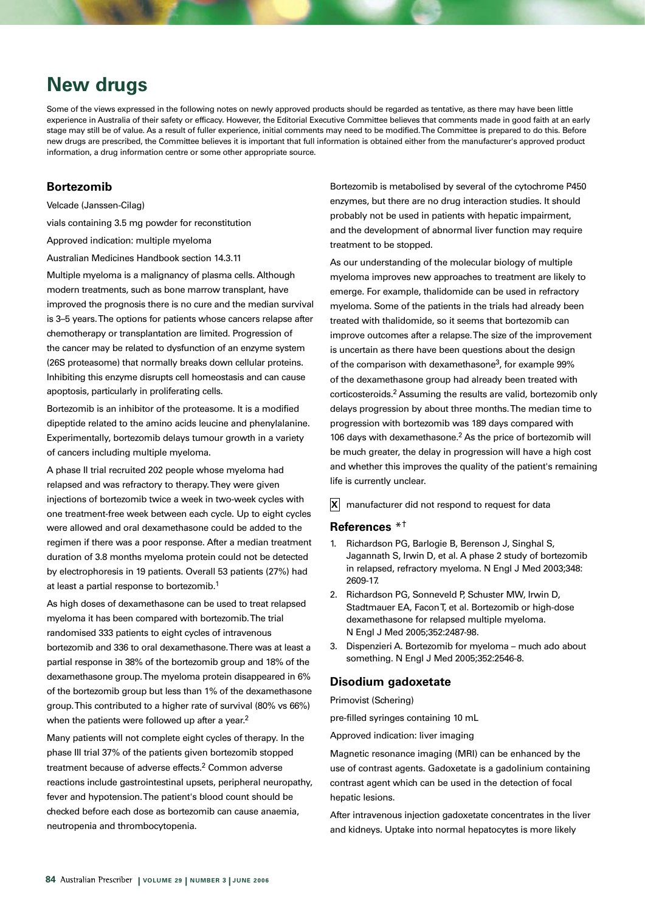# **New drugs**

Some of the views expressed in the following notes on newly approved products should be regarded as tentative, as there may have been little experience in Australia of their safety or efficacy. However, the Editorial Executive Committee believes that comments made in good faith at an early stage may still be of value. As a result of fuller experience, initial comments may need to be modified. The Committee is prepared to do this. Before new drugs are prescribed, the Committee believes it is important that full information is obtained either from the manufacturer's approved product information, a drug information centre or some other appropriate source.

# **Bortezomib**

Velcade (Janssen-Cilag)

vials containing 3.5 mg powder for reconstitution

Approved indication: multiple myeloma

Australian Medicines Handbook section 14.3.11

Multiple myeloma is a malignancy of plasma cells. Although modern treatments, such as bone marrow transplant, have improved the prognosis there is no cure and the median survival is 3–5 years. The options for patients whose cancers relapse after chemotherapy or transplantation are limited. Progression of the cancer may be related to dysfunction of an enzyme system (26S proteasome) that normally breaks down cellular proteins. Inhibiting this enzyme disrupts cell homeostasis and can cause apoptosis, particularly in proliferating cells.

Bortezomib is an inhibitor of the proteasome. It is a modified dipeptide related to the amino acids leucine and phenylalanine. Experimentally, bortezomib delays tumour growth in a variety of cancers including multiple myeloma.

A phase II trial recruited 202 people whose myeloma had relapsed and was refractory to therapy. They were given injections of bortezomib twice a week in two-week cycles with one treatment-free week between each cycle. Up to eight cycles were allowed and oral dexamethasone could be added to the regimen if there was a poor response. After a median treatment duration of 3.8 months myeloma protein could not be detected by electrophoresis in 19 patients. Overall 53 patients (27%) had at least a partial response to bortezomib.1

As high doses of dexamethasone can be used to treat relapsed myeloma it has been compared with bortezomib. The trial randomised 333 patients to eight cycles of intravenous bortezomib and 336 to oral dexamethasone. There was at least a partial response in 38% of the bortezomib group and 18% of the dexamethasone group. The myeloma protein disappeared in 6% of the bortezomib group but less than 1% of the dexamethasone group. This contributed to a higher rate of survival (80% vs 66%) when the patients were followed up after a year.<sup>2</sup>

Many patients will not complete eight cycles of therapy. In the phase III trial 37% of the patients given bortezomib stopped treatment because of adverse effects.<sup>2</sup> Common adverse reactions include gastrointestinal upsets, peripheral neuropathy, fever and hypotension. The patient's blood count should be checked before each dose as bortezomib can cause anaemia, neutropenia and thrombocytopenia.

Bortezomib is metabolised by several of the cytochrome P450 enzymes, but there are no drug interaction studies. It should probably not be used in patients with hepatic impairment, and the development of abnormal liver function may require treatment to be stopped.

As our understanding of the molecular biology of multiple myeloma improves new approaches to treatment are likely to emerge. For example, thalidomide can be used in refractory myeloma. Some of the patients in the trials had already been treated with thalidomide, so it seems that bortezomib can improve outcomes after a relapse. The size of the improvement is uncertain as there have been questions about the design of the comparison with dexamethasone3, for example 99% of the dexamethasone group had already been treated with corticosteroids.2 Assuming the results are valid, bortezomib only delays progression by about three months. The median time to progression with bortezomib was 189 days compared with 106 days with dexamethasone.<sup>2</sup> As the price of bortezomib will be much greater, the delay in progression will have a high cost and whether this improves the quality of the patient's remaining life is currently unclear.

**X** manufacturer did not respond to request for data

# **References** \*†

- 1. Richardson PG, Barlogie B, Berenson J, Singhal S, Jagannath S, Irwin D, et al. A phase 2 study of bortezomib in relapsed, refractory myeloma. N Engl J Med 2003;348: 2609-17.
- 2. Richardson PG, Sonneveld P, Schuster MW, Irwin D, Stadtmauer EA, Facon T, et al. Bortezomib or high-dose dexamethasone for relapsed multiple myeloma. N Engl J Med 2005;352:2487-98.
- 3. Dispenzieri A. Bortezomib for myeloma much ado about something. N Engl J Med 2005;352:2546-8.

## **Disodium gadoxetate**

Primovist (Schering)

pre-filled syringes containing 10 mL

Approved indication: liver imaging

Magnetic resonance imaging (MRI) can be enhanced by the use of contrast agents. Gadoxetate is a gadolinium containing contrast agent which can be used in the detection of focal hepatic lesions.

After intravenous injection gadoxetate concentrates in the liver and kidneys. Uptake into normal hepatocytes is more likely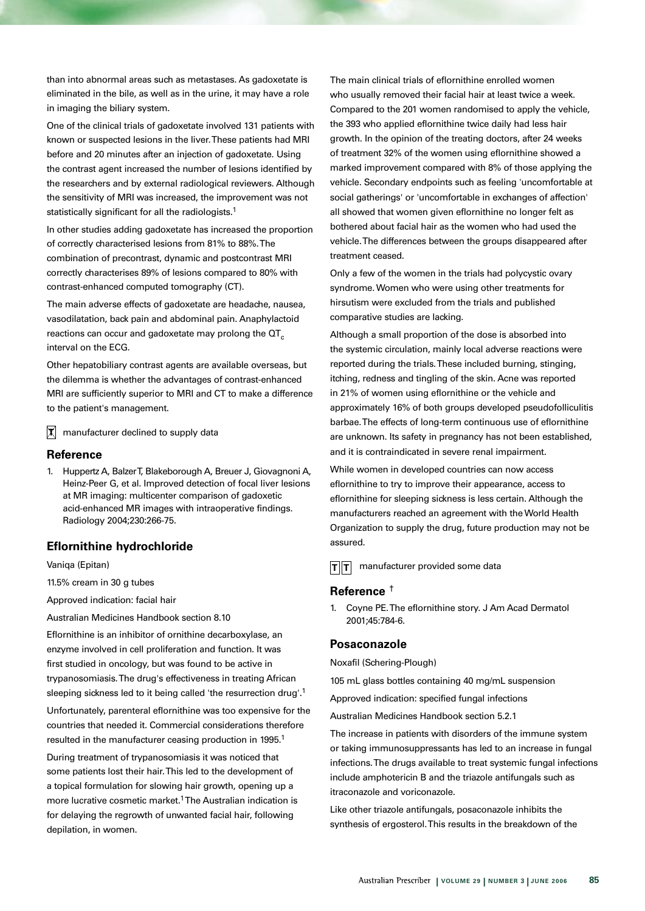than into abnormal areas such as metastases. As gadoxetate is eliminated in the bile, as well as in the urine, it may have a role in imaging the biliary system.

One of the clinical trials of gadoxetate involved 131 patients with known or suspected lesions in the liver. These patients had MRI before and 20 minutes after an injection of gadoxetate. Using the contrast agent increased the number of lesions identified by the researchers and by external radiological reviewers. Although the sensitivity of MRI was increased, the improvement was not statistically significant for all the radiologists.<sup>1</sup>

In other studies adding gadoxetate has increased the proportion of correctly characterised lesions from 81% to 88%. The combination of precontrast, dynamic and postcontrast MRI correctly characterises 89% of lesions compared to 80% with contrast-enhanced computed tomography (CT).

The main adverse effects of gadoxetate are headache, nausea, vasodilatation, back pain and abdominal pain. Anaphylactoid reactions can occur and gadoxetate may prolong the  $\sigma T_c$ interval on the ECG.

Other hepatobiliary contrast agents are available overseas, but the dilemma is whether the advantages of contrast-enhanced MRI are sufficiently superior to MRI and CT to make a difference to the patient's management.

manufacturer declined to supply data **T**

#### **Reference**

1. Huppertz A, Balzer T, Blakeborough A, Breuer J, Giovagnoni A, Heinz-Peer G, et al. Improved detection of focal liver lesions at MR imaging: multicenter comparison of gadoxetic acid-enhanced MR images with intraoperative findings. Radiology 2004;230:266-75.

## **Eflornithine hydrochloride**

Vaniqa (Epitan)

11.5% cream in 30 g tubes

Approved indication: facial hair

Australian Medicines Handbook section 8.10

Eflornithine is an inhibitor of ornithine decarboxylase, an enzyme involved in cell proliferation and function. It was first studied in oncology, but was found to be active in trypanosomiasis. The drug's effectiveness in treating African sleeping sickness led to it being called 'the resurrection drug'.<sup>1</sup>

Unfortunately, parenteral eflornithine was too expensive for the countries that needed it. Commercial considerations therefore resulted in the manufacturer ceasing production in 1995.<sup>1</sup>

During treatment of trypanosomiasis it was noticed that some patients lost their hair. This led to the development of a topical formulation for slowing hair growth, opening up a more lucrative cosmetic market.1 The Australian indication is for delaying the regrowth of unwanted facial hair, following depilation, in women.

The main clinical trials of eflornithine enrolled women who usually removed their facial hair at least twice a week. Compared to the 201 women randomised to apply the vehicle, the 393 who applied eflornithine twice daily had less hair growth. In the opinion of the treating doctors, after 24 weeks of treatment 32% of the women using eflornithine showed a marked improvement compared with 8% of those applying the vehicle. Secondary endpoints such as feeling 'uncomfortable at social gatherings' or 'uncomfortable in exchanges of affection' all showed that women given eflornithine no longer felt as bothered about facial hair as the women who had used the vehicle. The differences between the groups disappeared after treatment ceased.

Only a few of the women in the trials had polycystic ovary syndrome. Women who were using other treatments for hirsutism were excluded from the trials and published comparative studies are lacking.

Although a small proportion of the dose is absorbed into the systemic circulation, mainly local adverse reactions were reported during the trials. These included burning, stinging, itching, redness and tingling of the skin. Acne was reported in 21% of women using eflornithine or the vehicle and approximately 16% of both groups developed pseudofolliculitis barbae. The effects of long-term continuous use of eflornithine are unknown. Its safety in pregnancy has not been established, and it is contraindicated in severe renal impairment.

While women in developed countries can now access eflornithine to try to improve their appearance, access to eflornithine for sleeping sickness is less certain. Although the manufacturers reached an agreement with the World Health Organization to supply the drug, future production may not be assured.

 $|\mathbf{T}| |\mathbf{T}|$  manufacturer provided some data

## **Reference** †

1. Coyne PE. The eflornithine story. J Am Acad Dermatol 2001;45:784-6.

# **Posaconazole**

Noxafil (Schering-Plough)

105 mL glass bottles containing 40 mg/mL suspension

Approved indication: specified fungal infections

Australian Medicines Handbook section 5.2.1

The increase in patients with disorders of the immune system or taking immunosuppressants has led to an increase in fungal infections. The drugs available to treat systemic fungal infections include amphotericin B and the triazole antifungals such as itraconazole and voriconazole.

Like other triazole antifungals, posaconazole inhibits the synthesis of ergosterol. This results in the breakdown of the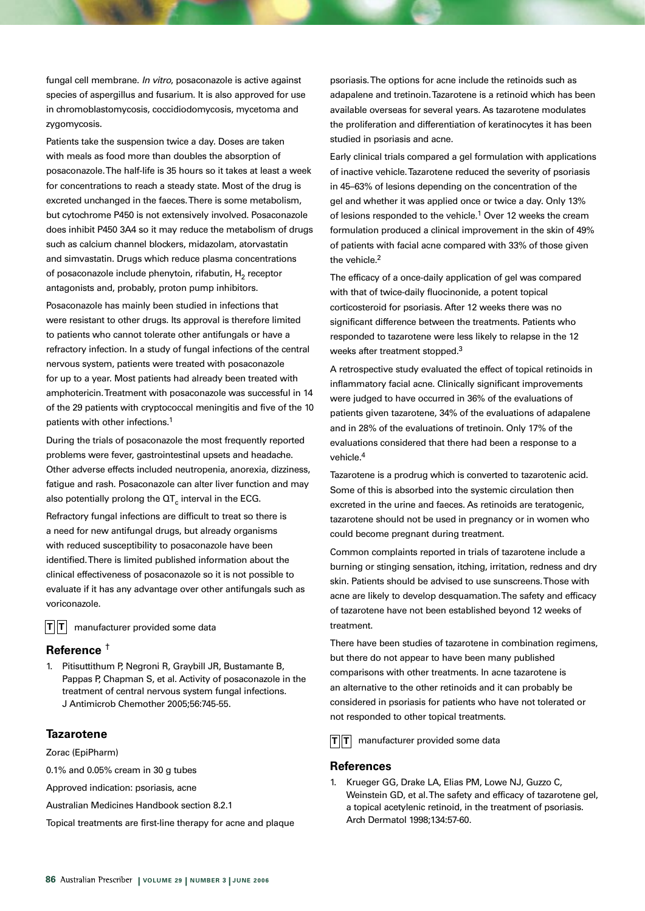fungal cell membrane. In vitro, posaconazole is active against species of aspergillus and fusarium. It is also approved for use in chromoblastomycosis, coccidiodomycosis, mycetoma and zygomycosis.

Patients take the suspension twice a day. Doses are taken with meals as food more than doubles the absorption of posaconazole. The half-life is 35 hours so it takes at least a week for concentrations to reach a steady state. Most of the drug is excreted unchanged in the faeces. There is some metabolism, but cytochrome P450 is not extensively involved. Posaconazole does inhibit P450 3A4 so it may reduce the metabolism of drugs such as calcium channel blockers, midazolam, atorvastatin and simvastatin. Drugs which reduce plasma concentrations of posaconazole include phenytoin, rifabutin,  $H_2$  receptor antagonists and, probably, proton pump inhibitors.

Posaconazole has mainly been studied in infections that were resistant to other drugs. Its approval is therefore limited to patients who cannot tolerate other antifungals or have a refractory infection. In a study of fungal infections of the central nervous system, patients were treated with posaconazole for up to a year. Most patients had already been treated with amphotericin. Treatment with posaconazole was successful in 14 of the 29 patients with cryptococcal meningitis and five of the 10 patients with other infections.1

During the trials of posaconazole the most frequently reported problems were fever, gastrointestinal upsets and headache. Other adverse effects included neutropenia, anorexia, dizziness, fatigue and rash. Posaconazole can alter liver function and may also potentially prolong the  $\mathsf{QT}_{c}$  interval in the ECG.

Refractory fungal infections are difficult to treat so there is a need for new antifungal drugs, but already organisms with reduced susceptibility to posaconazole have been identified. There is limited published information about the clinical effectiveness of posaconazole so it is not possible to evaluate if it has any advantage over other antifungals such as voriconazole.

 $T||T|$  manufacturer provided some data

#### **Reference** †

1. Pitisuttithum P, Negroni R, Graybill JR, Bustamante B, Pappas P, Chapman S, et al. Activity of posaconazole in the treatment of central nervous system fungal infections. J Antimicrob Chemother 2005;56:745-55.

## **Tazarotene**

Zorac (EpiPharm)

0.1% and 0.05% cream in 30 g tubes

Approved indication: psoriasis, acne

Australian Medicines Handbook section 8.2.1

Topical treatments are first-line therapy for acne and plaque

psoriasis. The options for acne include the retinoids such as adapalene and tretinoin. Tazarotene is a retinoid which has been available overseas for several years. As tazarotene modulates the proliferation and differentiation of keratinocytes it has been studied in psoriasis and acne.

Early clinical trials compared a gel formulation with applications of inactive vehicle. Tazarotene reduced the severity of psoriasis in 45–63% of lesions depending on the concentration of the gel and whether it was applied once or twice a day. Only 13% of lesions responded to the vehicle.<sup>1</sup> Over 12 weeks the cream formulation produced a clinical improvement in the skin of 49% of patients with facial acne compared with 33% of those given the vehicle.<sup>2</sup>

The efficacy of a once-daily application of gel was compared with that of twice-daily fluocinonide, a potent topical corticosteroid for psoriasis. After 12 weeks there was no significant difference between the treatments. Patients who responded to tazarotene were less likely to relapse in the 12 weeks after treatment stopped.3

A retrospective study evaluated the effect of topical retinoids in inflammatory facial acne. Clinically significant improvements were judged to have occurred in 36% of the evaluations of patients given tazarotene, 34% of the evaluations of adapalene and in 28% of the evaluations of tretinoin. Only 17% of the evaluations considered that there had been a response to a vehicle.4

Tazarotene is a prodrug which is converted to tazarotenic acid. Some of this is absorbed into the systemic circulation then excreted in the urine and faeces. As retinoids are teratogenic, tazarotene should not be used in pregnancy or in women who could become pregnant during treatment.

Common complaints reported in trials of tazarotene include a burning or stinging sensation, itching, irritation, redness and dry skin. Patients should be advised to use sunscreens. Those with acne are likely to develop desquamation. The safety and efficacy of tazarotene have not been established beyond 12 weeks of treatment.

There have been studies of tazarotene in combination regimens, but there do not appear to have been many published comparisons with other treatments. In acne tazarotene is an alternative to the other retinoids and it can probably be considered in psoriasis for patients who have not tolerated or not responded to other topical treatments.

 $|\mathbf{T}| |\mathbf{T}|$  manufacturer provided some data

#### **References**

1. Krueger GG, Drake LA, Elias PM, Lowe NJ, Guzzo C, Weinstein GD, et al. The safety and efficacy of tazarotene gel, a topical acetylenic retinoid, in the treatment of psoriasis. Arch Dermatol 1998;134:57-60.